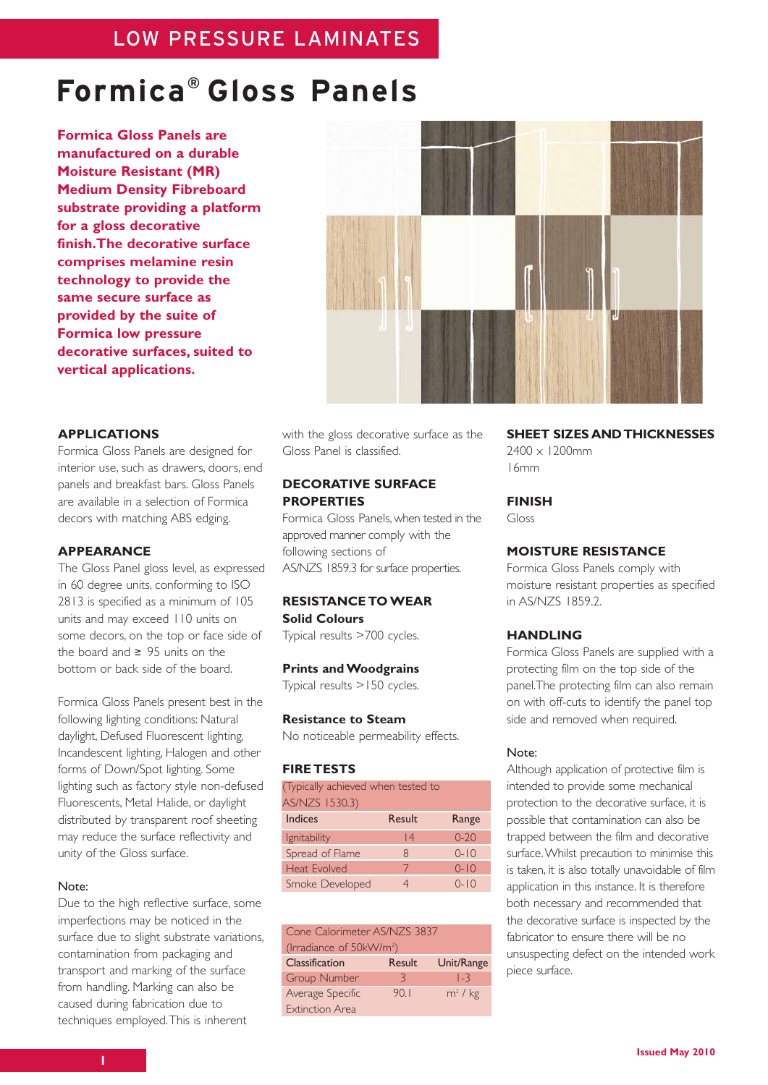# **Formica® Gloss Panels**

**Formica Gloss Panels are manufactured on a durable Moisture Resistant (MR) Medium Density Fibreboard substrate providing a platform for a gloss decorative finish.The decorative surface comprises melamine resin technology to provide the same secure surface as provided by the suite of Formica low pressure decorative surfaces, suited to vertical applications.**



## **APPLICATIONS**

Formica Gloss Panels are designed for interior use, such as drawers, doors, end panels and breakfast bars. Gloss Panels are available in a selection of Formica decors with matching ABS edging.

# **APPEARANCE**

The Gloss Panel gloss level, as expressed in 60 degree units, conforming to ISO 2813 is specified as a minimum of 105 units and may exceed 110 units on some decors, on the top or face side of the board and ≥ 95 units on the bottom or back side of the board.

Formica Gloss Panels present best in the following lighting conditions: Natural daylight, Defused Fluorescent lighting, Incandescent lighting, Halogen and other forms of Down/Spot lighting. Some lighting such as factory style non-defused Fluorescents, Metal Halide, or daylight distributed by transparent roof sheeting may reduce the surface reflectivity and unity of the Gloss surface.

## Note:

Due to the high reflective surface, some imperfections may be noticed in the surface due to slight substrate variations, contamination from packaging and transport and marking of the surface from handling. Marking can also be caused during fabrication due to techniques employed.This is inherent

with the gloss decorative surface as the Gloss Panel is classified.

# **DECORATIVE SURFACE PROPERTIES**

Formica Gloss Panels, when tested in the approved manner comply with the following sections of AS/NZS 1859.3 for surface properties.

# **RESISTANCE TO WEAR Solid Colours**

Typical results >700 cycles.

## **Prints and Woodgrains**

Typical results >150 cycles.

#### **Resistance to Steam**

No noticeable permeability effects.

# **FIRE TESTS**

| (Typically achieved when tested to |        |          |
|------------------------------------|--------|----------|
| AS/NZS 1530.3)                     |        |          |
| <b>Indices</b>                     | Result | Range    |
| Ignitability                       | 4      | $0 - 20$ |
| Spread of Flame                    | 8      | $0 - 10$ |
| <b>Heat Evolved</b>                | 7      | $0 - 10$ |
| Smoke Developed                    |        | $0 - 10$ |

| Cone Calorimeter AS/NZS 3837         |        |            |  |
|--------------------------------------|--------|------------|--|
| (Irradiance of 50kW/m <sup>2</sup> ) |        |            |  |
| Classification                       | Result | Unit/Range |  |
| <b>Group Number</b>                  | 3      | 1-3        |  |
| Average Specific                     | 90.1   | $m2$ / kg  |  |
| <b>Extinction Area</b>               |        |            |  |

**SHEET SIZES AND THICKNESSES** 2400 x 1200mm 16mm

**FINISH**

Gloss

# **MOISTURE RESISTANCE**

Formica Gloss Panels comply with moisture resistant properties as specified in AS/NZS 1859.2.

# **HANDLING**

Formica Gloss Panels are supplied with a protecting film on the top side of the panel.The protecting film can also remain on with off-cuts to identify the panel top side and removed when required.

#### Note:

Although application of protective film is intended to provide some mechanical protection to the decorative surface, it is possible that contamination can also be trapped between the film and decorative surface.Whilst precaution to minimise this is taken, it is also totally unavoidable of film application in this instance. It is therefore both necessary and recommended that the decorative surface is inspected by the fabricator to ensure there will be no unsuspecting defect on the intended work piece surface.